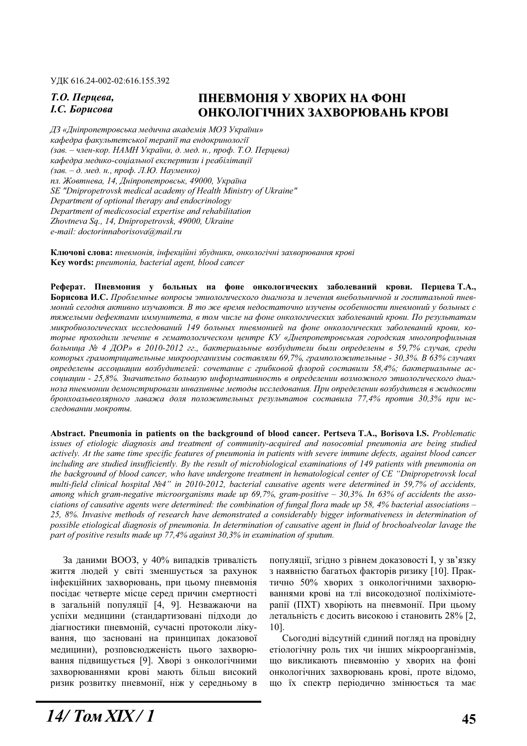ɍȾɄ 616.24-002-02:616.155.392

## **7.0.** Перцева,  $I.C.$  *Борисова*

# **ПНЕВМОНІЯ У ХВОРИХ НА ФОНІ ɈɇɄɈɅɈȽȱɑɇɂɏ ɁȺɏȼɈɊɘȼȺɇɖ ɄɊɈȼȱ**

 $\Box$ 3 «Дніпропетровська медична академія МОЗ України» **кафедра факультетської терапії та ендокринології** (зав. – член-кор. НАМН України, д. мед. н., проф. Т.О. Перцева) *кафедра медико-соціальної експертизи і реабілітації*  $(3a\varepsilon - \partial)$ . мед. н., проф. Л.Ю. Науменко) *пл. Жовтнева, 14, Дніпропетровськ, 49000, Україна SE "Dnipropetrovsk medical academy of Health Ministry of Ukraine" Department of optional therapy and endocrinology Department of medicosocial expertise and rehabilitation Zhovtneva Sq., 14, Dnipropetrovsk, 49000, Ukraine e-mail: doctorinnaborisova@mail.ru* 

Ключові слова: пневмонія, інфекційні збудники, онкологічні захворювання крові **Key words:** *pneumonia, bacterial agent, blood cancer* 

Реферат. Пневмония у больных на фоне онкологических заболеваний крови. Перцева Т.А., **Борисова И.С.** Проблемные вопросы этиологического диагноза и лечения внебольничной и госпитальной пневмоний сегодня активно изучаются. В то же время недостаточно изучены особенности пневмоний у больных с тяжелыми дефектами иммунитета, в том числе на фоне онкологических заболеваний крови. По результатам микробиологических исследований 149 больных пневмонией на фоне онкологических заболеваний крови, которые проходили лечение в гематологическом центре КУ «Днепропетровськая городская многопрофильная  $6$ ольница № 4 ДОР» в 2010-2012 гг., бактериальные возбудители были определены в 59,7% случав, среди *которых грамотрицательные микроорганизмы составляли 69.7%, грамположительные - 30,3%, В 63% случаях ɨɩɪɟɞɟɥɟɧɵ ɚɫɫɨɰɢɚɰɢɢ ɜɨɡɛɭɞɢɬɟɥɟɣ: ɫɨɱɟɬɚɧɢɟ ɫ ɝɪɢɛɤɨɜɨɣ ɮɥɨɪɨɣ ɫɨɫɬɚɜɢɥɢ 58,4%; ɛɚɤɬɟɪɢɚɥɶɧɵɟ ɚɫ*социации - 25,8%. Значительно большую информативность в определении возможного этиологического диагноза пневмонии демонстрировали инвазивные методы исследования. При определении возбудителя в жидкости *ɛɪɨɧɯɨɚɥɶɜɟɨɥɹɪɧɨɝɨ ɥɚɜɚɠɚ ɞɨɥɹ ɩɨɥɨɠɢɬɟɥɶɧɵɯ ɪɟɡɭɥɶɬɚɬɨɜ ɫɨɫɬɚɜɢɥɚ 77,4% ɩɪɨɬɢɜ 30,3% ɩɪɢ ɢɫ*следовании мокроты.

**Ⱥbstract. Pneumonia in patients on the background of blood cancer. Pertseva T.A., Borisova I.S.** *Problematic issues of etiologic diagnosis and treatment of community-acquired and nosocomial pneumonia are being studied actively. At the same time specific features of pneumonia in patients with severe immune defects, against blood cancer*  including are studied insufficiently. By the result of microbiological examinations of 149 patients with pneumonia on *the background of blood cancer, who have undergone treatment in hematological center of CE "Dnipropetrovsk local multi-field clinical hospital ʋ4" in 2010-2012, bacterial causative agents were determined in 59,7% of accidents, among which gram-negative microorganisms made up 69,7%, gram-positive – 30,3%. In 63% of accidents the associations of causative agents were determined: the combination of fungal flora made up 58, 4% bacterial associations – 25, 8%. Invasive methods of research have demonstrated a considerably bigger informativeness in determination of possible etiological diagnosis of pneumonia. In determination of causative agent in fluid of brochoalveolar lavage the part of positive results made up 77,4% against 30,3% in examination of sputum.* 

За даними ВООЗ, у 40% випадків тривалість життя людей у світі зменшується за рахунок інфекційних захворювань, при цьому пневмонія посідає четверте місце серед причин смертності в загальній популяції [4, 9]. Незважаючи на үспіхи медицини (стандартизовані підходи до діагностики пневмоній, сучасні протоколи лікування, що засновані на принципах доказової медицини), розповсюдженість цього захворювання підвищується [9]. Хворі з онкологічними захворюваннями крові мають більш високий ризик розвитку пневмонії, ніж у середньому в

популяції, згідно з рівнем доказовості І, у зв'язку з наявністю багатьох факторів ризику [10]. Практично 50% хворих з онкологічними захворюваннями крові на тлі високодозної поліхіміотерапії (ПХТ) хворіють на пневмонії. При цьому летальність є досить високою і становить 28% [2, 10].

Сьогодні відсутній єдиний погляд на провідну етіологічну роль тих чи інших мікроорганізмів, що викликають пневмонію у хворих на фоні онкологічних захворювань крові, проте відомо, що їх спектр періодично змінюється та має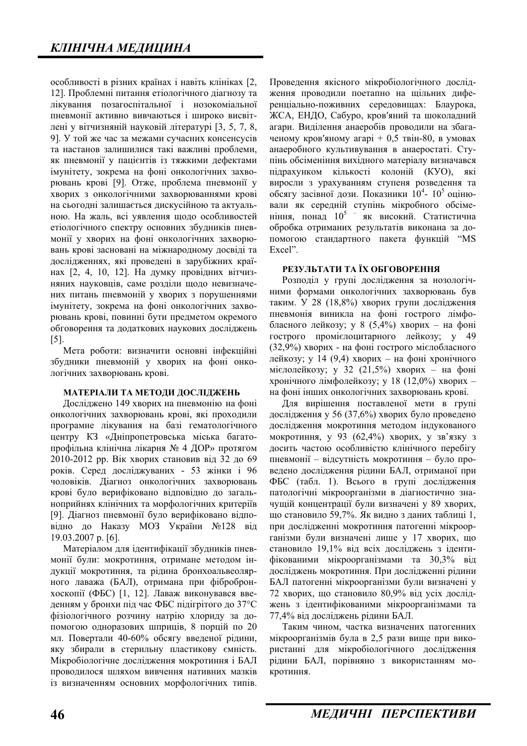особливості в різних країнах і навіть клініках [2, 12]. Проблемні питання етіологічного діагнозу та лікування позагоспітальної і нозокоміальної пневмонії активно вивчаються і широко висвітлені у вітчизняній науковій літературі [3, 5, 7, 8, 9]. У той же час за межами сучасних консенсусів та настанов залишилися такі важливі проблеми, як пневмонії у пацієнтів із тяжкими дефектами імунітету, зокрема на фоні онкологічних захворювань крові [9]. Отже, проблема пневмонії у хворих з онкологічними захворюваннями крові на сьогодні залишається дискусійною та актуальною. На жаль, всі уявлення щодо особливостей етіологічного спектру основних збудників пневмонії у хворих на фоні онкологічних захворювань крові засновані на міжнародному досвіді та дослідженнях, які проведені в зарубіжних країнах [2, 4, 10, 12]. На думку провідних вітчизняних науковців, саме розділи щодо невизначених питань пневмоній у хворих з порушеннями імунітету, зокрема на фоні онкологічних захворювань крові, повинні бути предметом окремого обговорення та додаткових наукових досліджень [5].

Мета роботи: визначити основні інфекційні збудники пневмоній у хворих на фоні онкологічних захворювань крові.

#### **МАТЕРІАЛИ ТА МЕТОДИ ДОСЛІДЖЕНЬ**

Досліджено 149 хворих на пневмонію на фоні онкологічних захворювань крові, які проходили програмне лікування на базі гематологічного центру КЗ «Дніпропетровська міська багатопрофільна клінічна лікарня № 4 ДОР» протягом 2010-2012 рр. Вік хворих становив від 32 до 69 років. Серед досліджуваних - 53 жінки і 96 чоловіків. Діагноз онкологічних захворювань крові було верифіковано відповідно до загальноприйнях клінічних та морфологічних критеріїв [9]. Діагноз пневмонії було верифіковано відповідно до Наказу МОЗ України №128 від 19.03.2007 p. [6].

Матеріалом для ідентифікації збудників пневмонії були: мокротиння, отримане методом індукції мокротиння, та рідина бронхоальвеолярного лаважа (БАЛ), отримана при фібробронхоскопії (ФБС) [1, 12]. Лаваж виконувався введенням у бронхи під час ФБС підігрітого до 37°С фізіологічного розчину натрію хлориду за допомогою одноразових шприців, 8 порцій по 20 мл. Повертали 40-60% обсягу введеної рідини, яку збирали в стерильну пластикову ємність. Мікробіологічне дослідження мокротиння і БАЛ проводилося шляхом вивчення нативних мазків із визначенням основних морфологічних типів. Проведення якісного мікробіологічного дослідження проводили поетапно на щільних диференціально-поживних середовищах: Блаурока, ЖСА, ЕНДО, Сабуро, кров'яний та шоколадний агари. Виділення анаеробів проводили на збагаченому кров'яному агарі + 0,5 твін-80, в умовах анаеробного культивування в анаеростаті. Ступінь обсіменіння вихілного матеріалу визначався підрахунком кількості колоній (КУО), які виросли з урахуванням ступеня розведення та обсягу засівної дози. Показники 10<sup>4</sup>- 10<sup>5</sup> оцінювали як середній ступінь мікробного обсіменіння, понад  $10^5$  – як високий. Статистична обробка отриманих результатів виконана за допомогою стандартного пакета функцій "MS Excel".

#### РЕЗУЛЬТАТИ ТА ЇХ ОБГОВОРЕННЯ

Розподіл у групі дослідження за нозологічними формами онкологічних захворювань був таким. У 28 (18,8%) хворих групи дослідження пневмонія виникла на фоні гострого лімфобласного лейкозу; у 8 (5,4%) хворих – на фоні гострого промієлоцитарного лейкозу; у 49  $(32,9%)$  хворих - на фоні гострого мієлобласного лейкозу; у 14 (9,4) хворих – на фоні хронічного мієлолейкозу; у 32 (21,5%) хворих – на фоні хронічного лімфолейкозу; у 18 (12,0%) хворих – на фоні інших онкологічних захворювань крові.

Для вирішення поставленої мети в групі дослідження у 56 (37,6%) хворих було проведено дослідження мокротиння методом індукованого мокротиння, у 93 (62,4%) хворих, у зв'язку з досить частою особливістю клінічного перебігу пневмонії – відсутність мокротиння – було проведено дослідження рідини БАЛ, отриманої при ФБС (табл. 1). Всього в групі дослідження патологічні мікроорганізми в діагностично значущій концентрації були визначені у 89 хворих, що становило 59,7%. Як видно з даних таблиці 1, при дослідженні мокротиння патогенні мікроорганізми були визначені лише у 17 хворих, що становило 19,1% від всіх досліджень з ідентифікованими мікроорганізмами та 30,3% від досліджень мокротиння. При дослідженні рідини БАЛ патогенні мікроорганізми були визначені у 72 хворих, що становило 80,9% від усіх досліджень з ідентифікованими мікроорганізмами та 77,4% від досліджень рідини БАЛ.

Таким чином, частка визначених патогенних мікроорганізмів була в 2,5 рази вище при використанні для мікробіологічного дослідження рідини БАЛ, порівняно з використанням мокротиння.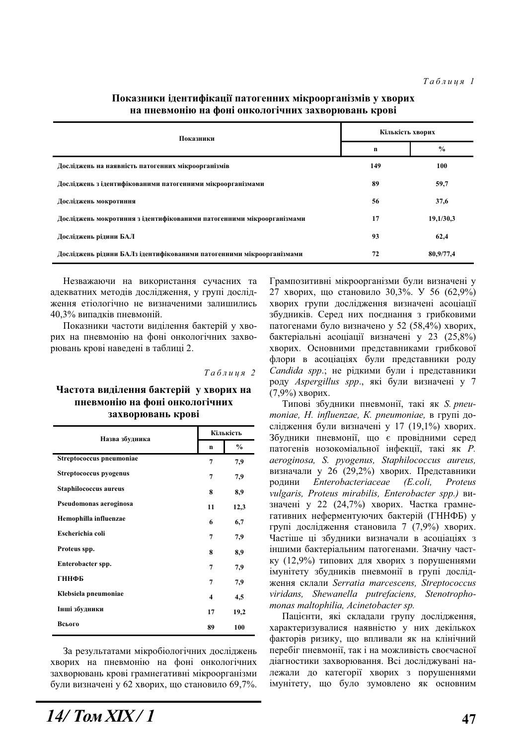| Показники                                                             | Кількість хворих |               |  |
|-----------------------------------------------------------------------|------------------|---------------|--|
|                                                                       | n                | $\frac{0}{0}$ |  |
| Досліджень на наявність патогенних мікроорганізмів                    | 149              | 100           |  |
| Досліджень з ідентифікованими патогенними мікроорганізмами            | 89               | 59,7          |  |
| Досліджень мокротиння                                                 | 56               | 37,6          |  |
| Досліджень мокротиння з ідентифікованими патогенними мікроорганізмами | 17               | 19,1/30,3     |  |
| Досліджень рідини БАЛ                                                 | 93               | 62,4          |  |
| Досліджень рідини БАЛз ідентифікованими патогенними мікроорганізмами  | 72               | 80,9/77,4     |  |

### Показники ідентифікації патогенних мікроорганізмів у хворих на пневмонію на фоні онкологічних захворювань крові

Незважаючи на використання сучасних та адекватних методів дослідження, у групі дослідження етіологічно не визначеними залишились 40,3% випадків пневмоній.

Показники частоти виділення бактерій у хворих на пневмонію на фоні онкологічних захворювань крові наведені в таблиці 2.

|  | Таблиця 2 |  |  |  |  |  |  |
|--|-----------|--|--|--|--|--|--|
|--|-----------|--|--|--|--|--|--|

#### Частота виділення бактерій у хворих на пневмонію на фоні онкологічних захворювань крові

| Назва збудника           | Кількість |               |  |
|--------------------------|-----------|---------------|--|
|                          | n         | $\frac{0}{0}$ |  |
| Streptococcus pneumoniae | 7         | 7,9           |  |
| Streptococcus pyogenus   | 7         | 7,9           |  |
| Staphilococcus aureus    | 8         | 8,9           |  |
| Pseudomonas aeroginosa   | 11        | 12,3          |  |
| Hemophilla influenzae    | 6         | 6,7           |  |
| Escherichia coli         | 7         | 7,9           |  |
| Proteus spp.             | 8         | 8,9           |  |
| Enterobacter spp.        | 7         | 7,9           |  |
| <b>ГННФБ</b>             | 7         | 7,9           |  |
| Klebsiela pneumoniae     | 4         | 4,5           |  |
| Інші збудники            | 17        | 19,2          |  |
| Всього                   | 89        | 100           |  |

За результатами мікробіологічних досліджень хворих на пневмонію на фоні онкологічних захворювань крові грамнегативні мікроорганізми були визначені у 62 хворих, що становило 69,7%. Грампозитивні мікроорганізми були визначені у 27 хворих, що становило  $30,3\%$ . У 56 (62,9%) хворих групи дослідження визначені асоціації збудників. Серед них поєднання з грибковими патогенами було визначено у 52 (58,4%) хворих, бактеріальні асоціації визначені у 23 (25,8%) хворих. Основними представниками грибкової флори в асоціаціях були представники роду *Candida spp.*; не рідкими були і представники роду Aspergillus spp., які були визначені у 7  $(7,9%$ ) хворих.

Типові збудники пневмонії, такі як *S. pneu* $m$ oniae, *H.* influenzae, *K. pneumoniae*, **B** *rpyni*  $q$ oслідження були визначені у 17 (19,1%) хворих. Збудники пневмонії, що є провідними серед патогенів нозокоміальної інфекції, такі як Р. *aeroginosa, S. pyogenus, Staphilococcus aureus,*  визначали у 26 (29,2%) хворих. Представники ɪɨɞɢɧɢ *Enterobacteriaceae (E.coli, Proteus vulgaris, Proteus mirabilis, Enterobacter spp.)* ɜɢзначені у 22 (24,7%) хворих. Частка грамнегативних неферментуючих бактерій (ГННФБ) у групі дослідження становила 7 (7,9%) хворих. Частіше ці збудники визначали в асоціаціях з іншими бактеріальним патогенами. Значну частку (12,9%) типових для хворих з порушеннями імунітету збудників пневмонії в групі дослідɠɟɧɧɹ ɫɤɥɚɥɢ *Serratia marcescens, Streptococcus viridans, Shewanella putrefaciens, Stenotrophomonas maltophilia, Acinetobacter sp.*

Пацієнти, які складали групу дослідження, характеризувалися наявністю у них декількох факторів ризику, що впливали як на клінічний перебіг пневмонії, так і на можливість своєчасної діагностики захворювання. Всі досліджувані належали до категорії хворих з порушеннями імунітету, що було зумовлено як основним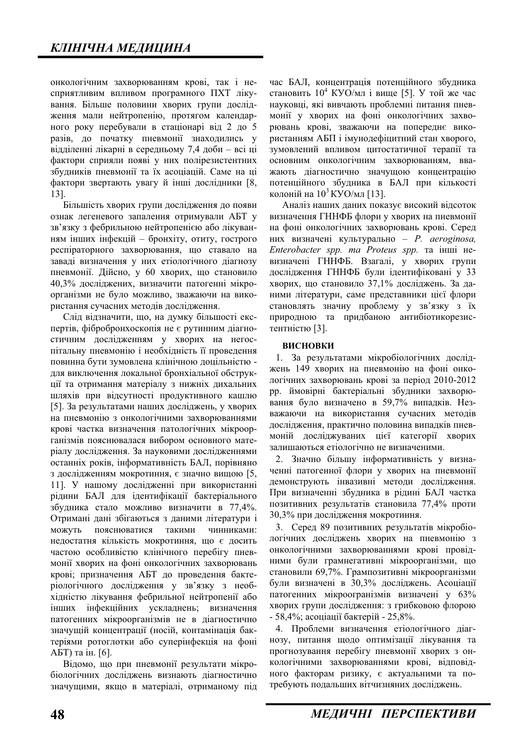онкологічним захворюванням крові, так і несприятливим впливом програмного ПХТ лікування. Більше половини хворих групи дослідження мали нейтропенію, протягом календарного року перебували в стаціонарі від 2 до 5 разів, до початку пневмонії знаходились у відділенні лікарні в середньому 7,4 доби - всі ці фактори сприяли появі у них полірезистентних збудників пневмонії та їх асоціацій. Саме на ці фактори звертають увагу й інші дослідники [8, 13].

Більшість хворих групи дослідження до появи ознак легеневого запалення отримували АБТ у зв'язку з фебрильною нейтропенією або лікуванням інших інфекцій – бронхіту, отиту, гострого респіраторного захворювання, що ставало на заваді визначення у них етіологічного діагнозу пневмонії. Дійсно, у 60 хворих, що становило 40,3% досліджених, визначити патогенні мікроорганізми не було можливо, зважаючи на використання сучасних методів дослідження.

Слід відзначити, що, на думку більшості експертів, фібробронхоскопія не є рутинним діагностичним дослідженням у хворих на негоспітальну пневмонію і необхідність її проведення повинна бути зумовлена клінічною доцільністю для виключення локальної бронхіальної обструкції та отримання матеріалу з нижніх дихальних шляхів при відсутності продуктивного кашлю [5]. За результатами наших досліджень, у хворих на пневмонію з онкологічними захворюваннями крові частка визначення патологічних мікроорганізмів пояснювалася вибором основного матеріалу дослідження. За науковими дослідженнями останніх років, інформативність БАЛ, порівняно з дослідженням мокротиння, є значно вищою [5, 11]. У нашому дослідженні при використанні рідини БАЛ для ідентифікації бактеріального збудника стало можливо визначити в 77,4%. Отримані дані збігаються з даними літератури і можуть пояснюватися такими чинниками: недостатня кількість мокротиння, що є досить частою особливістю клінічного перебігу пневмонії хворих на фоні онкологічних захворювань крові; призначення АБТ до проведення бактеріологічного дослідження у зв'язку з необхідністю лікування фебрильної нейтропенії або інших інфекційних ускладнень; визначення патогенних мікроорганізмів не в діагностично значущій концентрації (носій, контамінація бактеріями ротоглотки або суперінфекція на фоні АБТ) та ін. [6].

Відомо, що при пневмонії результати мікробіологічних досліджень визнають діагностично значущими, якщо в матеріалі, отриманому під

час БАЛ, концентрація потенційного збудника становить  $10^4$  KYO/мл і вище [5]. У той же час науковці, які вивчають проблемні питання пневмонії у хворих на фоні онкологічних захворювань крові, зважаючи на попереднє використанням АБП і імунодефіцитний стан хворого, зумовлений впливом цитостатичної терапії та основним онкологічним захворюванням. вважають діагностично значущою концентрацію потенційного збудника в БАЛ при кількості колоній на  $10^3$  КУО/мл [13].

Аналіз наших даних показує високий відсоток визначення ГННФБ флори у хворих на пневмонії на фоні онкологічних захворювань крові. Серед ɧɢɯ ɜɢɡɧɚɱɟɧɿ ɤɭɥɶɬɭɪɚɥɶɧɨ – *P. aeroginosa, Enterobacter spp. ma Proteus spp.* та інші невизначені ГННФБ. Взагалі, у хворих групи дослідження ГННФБ були ідентифіковані у 33 хворих, що становило 37,1% досліджень. За даними літератури, саме представники цієї флори становлять значну проблему у зв'язку з їх природною та придбаною антибіотикорезистентністю [3].

#### **ВИСНОВКИ**

1. За результатами мікробіологічних досліджень 149 хворих на пневмонію на фоні онкологічних захворювань крові за період 2010-2012 рр. ймовірні бактеріальні збудники захворювання було визначено в 59,7% випадків. Незважаючи на використання сучасних методів дослідження, практично половина випадків пневмоній досліджуваних цієї категорії хворих залишаються етіологічно не визначеними.

2. Значно більшу інформативність у визначенні патогенної флори у хворих на пневмонії демонструють інвазивні методи дослідження. При визначенні збудника в рідині БАЛ частка позитивних результатів становила 77,4% проти 30,3% при дослідження мокротиння.

3. Серед 89 позитивних результатів мікробіологічних досліджень хворих на пневмонію з онкологічними захворюваннями крові провідними були грамнегативні мікроорганізми, що становили 69,7%. Грампозитивні мікроорганізми були визначені в 30,3% досліджень. Асоціації патогенних мікроогранізмів визначені у 63% хворих групи дослідження: з грибковою флорою - 58,4%; асоціації бактерій - 25,8%.

4. Проблеми визначення етіологічного діагнозу, питання щодо оптимізації лікування та прогнозування перебігу пневмонії хворих з онкологічними захворюваннями крові, відповідного факторам ризику, є актуальними та потребують подальших вітчизняних досліджень.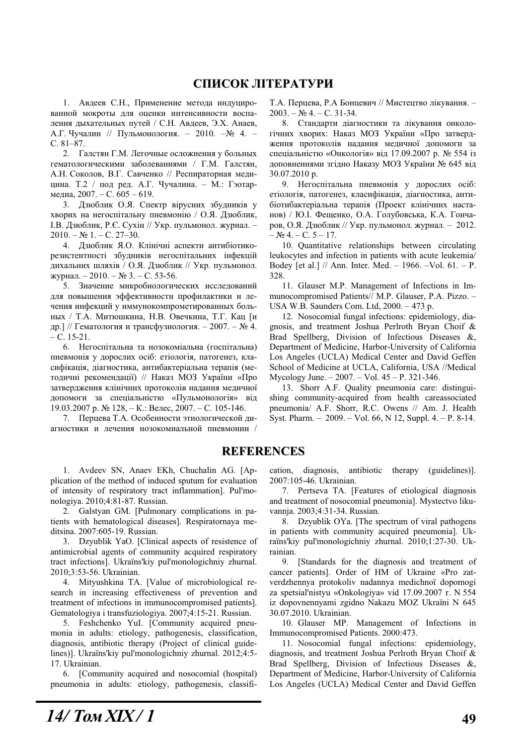# СПИСОК ЛІТЕРАТУРИ

1. Авдеев С.Н., Применение метода индуцированной мокроты для оценки интенсивности воспадения дыхательных путей / С.Н. Авдеев, Э.Х. Анаев, А.Г. Чучалин // Пульмонология. – 2010. – $N_2$  4. – C. 81–87.

2. Галстян Г.М. Легочные осложнения у больных гематологическими заболеваниями / Г.М. Галстян, А.Н. Соколов, В.Г. Савченко // Респираторная медицина. Т.2 / под ред. А.Г. Чучалина. - М.: Гэотармедиа, 2007. – С. 605 – 619.

3. Дзюблик О.Я. Спектр вірусних збудників у хворих на негоспітальну пневмонію / О.Я. Дзюблик, І.В. Дзюблик, Р.Є. Сухін // Укр. пульмонол. журнал. - $2010. - N$ <sub>21.</sub> – C. 27–30.

4. Дзюблик Я.О. Клінічні аспекти антибіотикорезистентності збудників негоспітальних інфекцій дихальних шляхів / О.Я. Дзюблик // Укр. пульмонол. журнал. – 2010. – № 3. – С. 53-56.

5. Значение микробиологических исследований для повышения эффективности профилактики и лечения инфекций у иммунокомпрометированных больных / Т.А. Митюшкина, Н.В. Овечкина, Т.Г. Кац [и др.] // Гематология и трансфузиология. – 2007. – № 4.  $- C. 15-21.$ 

6. Негоспітальна та нозокоміальна (госпітальна) пневмонія у дорослих осіб: етіологія, патогенез, класифікація, діагностика, антибактеріальна терапія (методичні рекомендації) // Наказ МОЗ України «Про затвердження клінічних протоколів надання медичної допомоги за спеціальністю «Пульмонологія» від 19.03.2007 р. № 128, – К.: Велес, 2007. – С. 105-146.

7. Перцева Т.А. Особенности этиологической диагностики и лечения нозокомиальной пневмонии / Т.А. Перцева, Р.А Бонцевич // Мистецтво лікування. –  $2003. - N<sub>2</sub>4. - C. 31-34.$ 

8. Стандарти діагностики та лікування онкологічних хворих: Наказ МОЗ України «Про затвердження протоколів надання медичної допомоги за спеціальністю «Онкологія» від 17.09.2007 р. № 554 із доповненнями згідно Наказу МОЗ України № 645 від 30.07.2010 p.

9. Негоспітальна пневмонія у дорослих осіб: етіологія, патогенез, класифікація, діагностика, антибіотибактеріальна терапія (Проект клінічних настанов) / Ю.І. Фещенко, О.А. Голубовська, К.А. Гончаров, О.Я. Дзюблик // Укр. пульмонол. журнал. - 2012.  $-$  No 4. – C. 5 – 17.

10. Quantitative relationships between circulating leukocytes and infection in patients with acute leukemia/ Bodey [et al.] // Ann. Inter. Med. – 1966. –Vol. 61. – P. 328.

11. Glauser M.P. Management of Infections in Immunocompromised Patients// M.P. Glauser, P.A. Pizzo. – USA W.B. Saunders Com. Ltd, 2000. – 473 p.

12. Nosocomial fungal infections: epidemiology, diagnosis, and treatment Joshua Perlroth Bryan Choif & Brad Spellberg, Division of Infectious Diseases &, Department of Medicine, Harbor-University of California Los Angeles (UCLA) Medical Center and David Geffen School of Medicine at UCLA, California, USA //Medical Mycology June. – 2007. – Vol. 45 – P. 321-346.

13. Shorr A.F. Quality pneumonia care: distinguishing community-acquired from health careassociated pneumonia/ A.F. Shorr, R.C. Owens // Am. J. Health Syst. Pharm. – 2009. – Vol. 66, N 12, Suppl. 4. – P. 8-14.

### **REFERENCES**

1. Avdeev SN, Anaev EKh, Chuchalin AG. [Application of the method of induced sputum for evaluation of intensity of respiratory tract inflammation]. Pul'monologiya. 2010;4:81-87. Russian.

2. Galstyan GM. [Pulmonary complications in patients with hematological diseases]. Respiratornaya meditsina. 2007:605-19. Russian.

3. Dzyublik YaO. [Clinical aspects of resistence of antimicrobial agents of community acquired respiratory tract infections]. Ukraïns'kiy pul'monologichniy zhurnal. 2010;3:53-56. Ukrainian.

4. Mityushkina TA. [Value of microbiological research in increasing effectiveness of prevention and treatment of infections in immunocompromised patients]. Gematologiya i transfuziologiya. 2007;4:15-21. Russian.

5. Feshchenko YuI. [Community acquired pneumonia in adults: etiology, pathogenesis, classification, diagnosis, antibiotic therapy (Project of clinical guidelines)]. Ukraïns'kiy pul'monologichniy zhurnal. 2012;4:5-17. Ukrainian.

6. [Community acquired and nosocomial (hospital) pneumonia in adults: etiology, pathogenesis, classification, diagnosis, antibiotic therapy (guidelines)]. 2007:105-46. Ukrainian.

7. Pertseva TA. [Features of etiological diagnosis and treatment of nosocomial pneumonia]. Mystectvo likuvannja. 2003;4:31-34. Russian.

8. Dzyublik OYa. [The spectrum of viral pathogens in patients with community acquired pneumonia]. Ukraïns'kiy pul'monologichniy zhurnal. 2010;1:27-30. Ukrainian.

9. [Standards for the diagnosis and treatment of cancer patients]. Order of HM of Ukraine «Pro zatverdzhennya protokoliv nadannya medichnoï dopomogi za spetsial'nistyu «Onkologiya» vid 17.09.2007 r. N 554 iz dopovnennyami zgidno Nakazu MOZ Ukraïni N 645 30.07.2010. Ukrainian.

10. Glauser MP. Management of Infections in Immunocompromised Patients. 2000:473.

11. Nosocomial fungal infections: epidemiology, diagnosis, and treatment Joshua Perlroth Bryan Choif & Brad Spellberg, Division of Infectious Diseases &, Department of Medicine, Harbor-University of California Los Angeles (UCLA) Medical Center and David Geffen